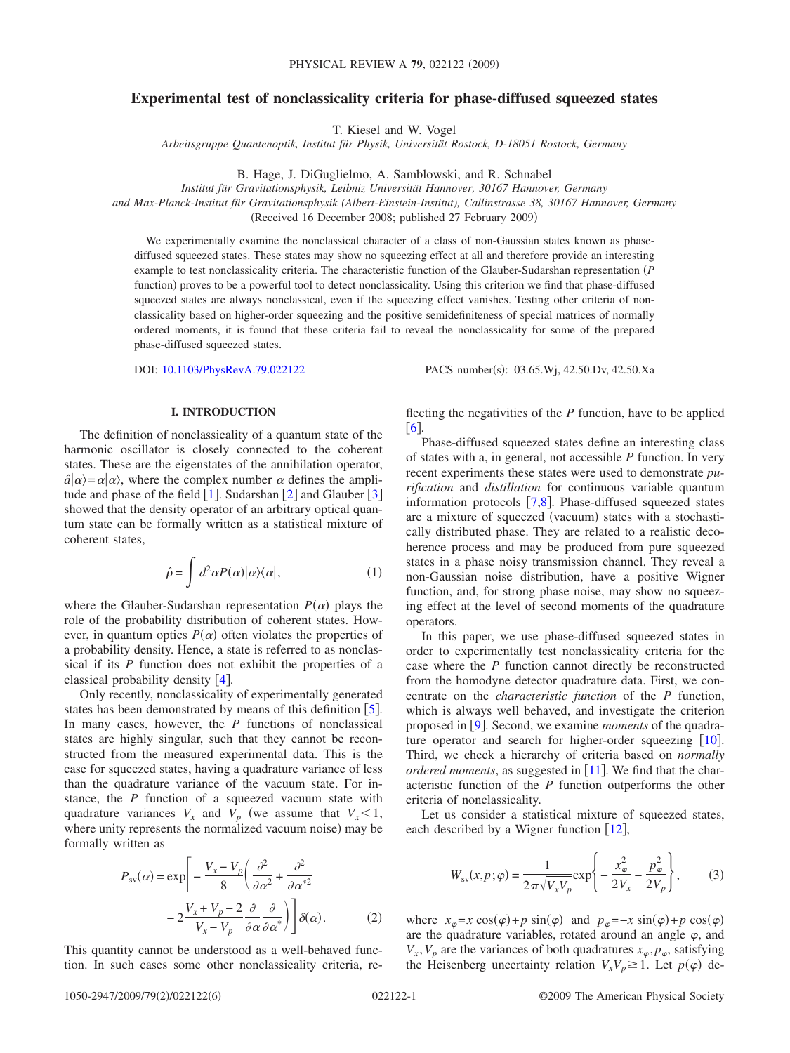# **Experimental test of nonclassicality criteria for phase-diffused squeezed states**

T. Kiesel and W. Vogel

*Arbeitsgruppe Quantenoptik, Institut für Physik, Universität Rostock, D-18051 Rostock, Germany*

B. Hage, J. DiGuglielmo, A. Samblowski, and R. Schnabel

*Institut für Gravitationsphysik, Leibniz Universität Hannover, 30167 Hannover, Germany*

*and Max-Planck-Institut für Gravitationsphysik (Albert-Einstein-Institut), Callinstrasse 38, 30167 Hannover, Germany*

(Received 16 December 2008; published 27 February 2009)

We experimentally examine the nonclassical character of a class of non-Gaussian states known as phasediffused squeezed states. These states may show no squeezing effect at all and therefore provide an interesting example to test nonclassicality criteria. The characteristic function of the Glauber-Sudarshan representation *P* function) proves to be a powerful tool to detect nonclassicality. Using this criterion we find that phase-diffused squeezed states are always nonclassical, even if the squeezing effect vanishes. Testing other criteria of nonclassicality based on higher-order squeezing and the positive semidefiniteness of special matrices of normally ordered moments, it is found that these criteria fail to reveal the nonclassicality for some of the prepared phase-diffused squeezed states.

DOI: [10.1103/PhysRevA.79.022122](http://dx.doi.org/10.1103/PhysRevA.79.022122)

PACS number(s): 03.65.Wj, 42.50.Dv, 42.50.Xa

## **I. INTRODUCTION**

The definition of nonclassicality of a quantum state of the harmonic oscillator is closely connected to the coherent states. These are the eigenstates of the annihilation operator,  $\hat{a}|\alpha\rangle = \alpha|\alpha\rangle$ , where the complex number  $\alpha$  defines the amplitude and phase of the field  $\left[1\right]$  $\left[1\right]$  $\left[1\right]$ . Sudarshan  $\left[2\right]$  $\left[2\right]$  $\left[2\right]$  and Glauber  $\left[3\right]$  $\left[3\right]$  $\left[3\right]$ showed that the density operator of an arbitrary optical quantum state can be formally written as a statistical mixture of coherent states,

$$
\hat{\rho} = \int d^2 \alpha P(\alpha) |\alpha\rangle\langle\alpha|, \qquad (1)
$$

where the Glauber-Sudarshan representation  $P(\alpha)$  plays the role of the probability distribution of coherent states. However, in quantum optics  $P(\alpha)$  often violates the properties of a probability density. Hence, a state is referred to as nonclassical if its *P* function does not exhibit the properties of a classical probability density  $[4]$  $[4]$  $[4]$ .

Only recently, nonclassicality of experimentally generated states has been demonstrated by means of this definition  $\lceil 5 \rceil$  $\lceil 5 \rceil$  $\lceil 5 \rceil$ . In many cases, however, the *P* functions of nonclassical states are highly singular, such that they cannot be reconstructed from the measured experimental data. This is the case for squeezed states, having a quadrature variance of less than the quadrature variance of the vacuum state. For instance, the *P* function of a squeezed vacuum state with quadrature variances  $V_x$  and  $V_p$  (we assume that  $V_x < 1$ , where unity represents the normalized vacuum noise) may be formally written as

$$
P_{\rm sv}(\alpha) = \exp\left[-\frac{V_x - V_p}{8} \left(\frac{\partial^2}{\partial \alpha^2} + \frac{\partial^2}{\partial \alpha^{*2}} - 2\frac{V_x + V_p - 2}{V_x - V_p} \frac{\partial}{\partial \alpha} \frac{\partial}{\partial \alpha^{*}}\right)\right] \delta(\alpha).
$$
 (2)

This quantity cannot be understood as a well-behaved function. In such cases some other nonclassicality criteria, reflecting the negativities of the *P* function, have to be applied  $[6]$  $[6]$  $[6]$ 

Phase-diffused squeezed states define an interesting class of states with a, in general, not accessible *P* function. In very recent experiments these states were used to demonstrate *purification* and *distillation* for continuous variable quantum information protocols  $[7,8]$  $[7,8]$  $[7,8]$  $[7,8]$ . Phase-diffused squeezed states are a mixture of squeezed (vacuum) states with a stochastically distributed phase. They are related to a realistic decoherence process and may be produced from pure squeezed states in a phase noisy transmission channel. They reveal a non-Gaussian noise distribution, have a positive Wigner function, and, for strong phase noise, may show no squeezing effect at the level of second moments of the quadrature operators.

In this paper, we use phase-diffused squeezed states in order to experimentally test nonclassicality criteria for the case where the *P* function cannot directly be reconstructed from the homodyne detector quadrature data. First, we concentrate on the *characteristic function* of the *P* function, which is always well behaved, and investigate the criterion proposed in [[9](#page-5-8)]. Second, we examine *moments* of the quadrature operator and search for higher-order squeezing  $[10]$  $[10]$  $[10]$ . Third, we check a hierarchy of criteria based on *normally ordered moments*, as suggested in [[11](#page-5-10)]. We find that the characteristic function of the *P* function outperforms the other criteria of nonclassicality.

Let us consider a statistical mixture of squeezed states, each described by a Wigner function  $[12]$  $[12]$  $[12]$ ,

$$
W_{\rm sv}(x,p;\varphi) = \frac{1}{2\pi\sqrt{V_xV_p}} \exp\left\{-\frac{x_{\varphi}^2}{2V_x} - \frac{p_{\varphi}^2}{2V_p}\right\},\qquad(3)
$$

<span id="page-0-0"></span>where  $x_{\varphi} = x \cos(\varphi) + p \sin(\varphi)$  and  $p_{\varphi} = -x \sin(\varphi) + p \cos(\varphi)$ are the quadrature variables, rotated around an angle  $\varphi$ , and  $V_x$ ,  $V_p$  are the variances of both quadratures  $x_\varphi$ ,  $p_\varphi$ , satisfying the Heisenberg uncertainty relation  $V_x V_p \geq 1$ . Let  $p(\varphi)$  de-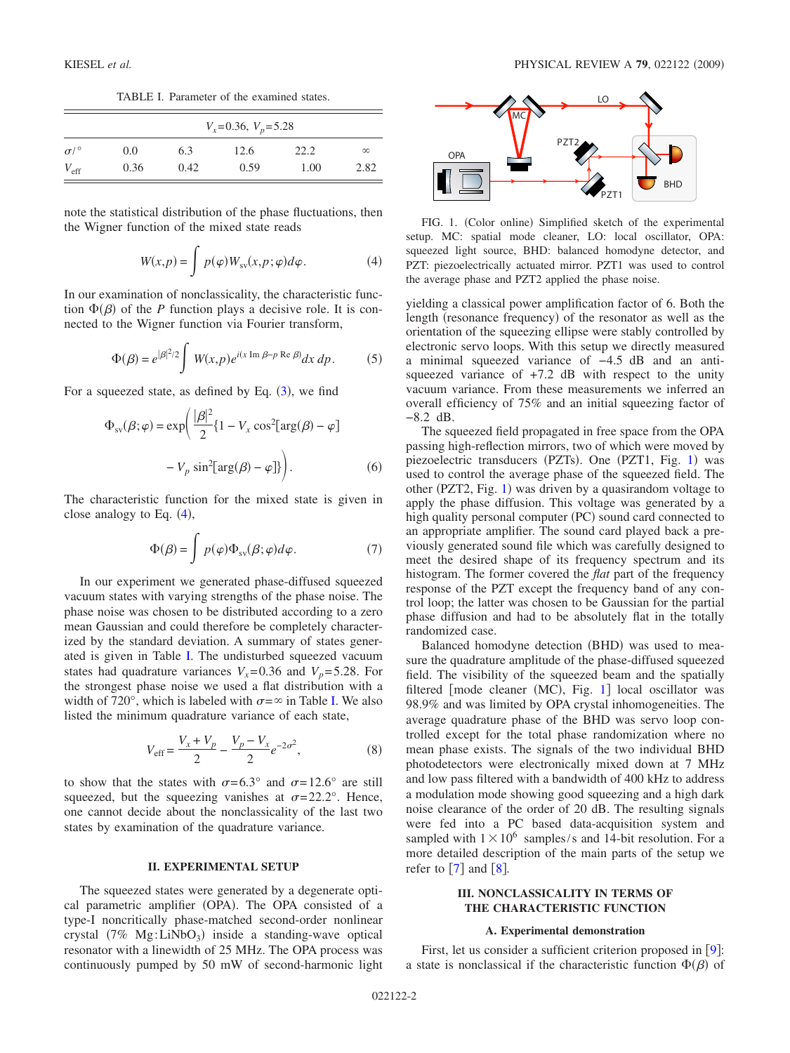TABLE I. Parameter of the examined states.

<span id="page-1-1"></span>

|                    | $V_x = 0.36$ , $V_p = 5.28$ |      |      |      |          |  |  |
|--------------------|-----------------------------|------|------|------|----------|--|--|
| $\sigma$ / $\circ$ | 0.0                         | 6.3  | 12.6 | 22.2 | $\infty$ |  |  |
| $V_{\rm eff}$      | 0.36                        | 0.42 | 0.59 | 1.00 | 2.82     |  |  |

note the statistical distribution of the phase fluctuations, then the Wigner function of the mixed state reads

$$
W(x,p) = \int p(\varphi) W_{\rm sv}(x,p;\varphi) d\varphi.
$$
 (4)

<span id="page-1-0"></span>In our examination of nonclassicality, the characteristic function  $\Phi(\beta)$  of the *P* function plays a decisive role. It is connected to the Wigner function via Fourier transform,

$$
\Phi(\beta) = e^{|\beta|^2/2} \int W(x, p) e^{i(x \operatorname{Im} \beta - p \operatorname{Re} \beta)} dx dp.
$$
 (5)

For a squeezed state, as defined by Eq.  $(3)$  $(3)$  $(3)$ , we find

$$
\Phi_{\rm sv}(\beta;\varphi) = \exp\left(\frac{|\beta|^2}{2} \{1 - V_x \cos^2[\arg(\beta) - \varphi] - V_p \sin^2[\arg(\beta) - \varphi]\}\right).
$$
\n(6)

The characteristic function for the mixed state is given in close analogy to Eq.  $(4)$  $(4)$  $(4)$ ,

$$
\Phi(\beta) = \int p(\varphi) \Phi_{sv}(\beta; \varphi) d\varphi.
$$
 (7)

<span id="page-1-3"></span>In our experiment we generated phase-diffused squeezed vacuum states with varying strengths of the phase noise. The phase noise was chosen to be distributed according to a zero mean Gaussian and could therefore be completely characterized by the standard deviation. A summary of states generated is given in Table [I.](#page-1-1) The undisturbed squeezed vacuum states had quadrature variances  $V_x = 0.36$  and  $V_p = 5.28$ . For the strongest phase noise we used a flat distribution with a width of 720°, which is labeled with  $\sigma = \infty$  in Table [I.](#page-1-1) We also listed the minimum quadrature variance of each state,

$$
V_{\text{eff}} = \frac{V_x + V_p}{2} - \frac{V_p - V_x}{2} e^{-2\sigma^2},\tag{8}
$$

to show that the states with  $\sigma = 6.3^{\circ}$  and  $\sigma = 12.6^{\circ}$  are still squeezed, but the squeezing vanishes at  $\sigma = 22.2^{\circ}$ . Hence, one cannot decide about the nonclassicality of the last two states by examination of the quadrature variance.

## **II. EXPERIMENTAL SETUP**

The squeezed states were generated by a degenerate optical parametric amplifier (OPA). The OPA consisted of a type-I noncritically phase-matched second-order nonlinear crystal  $(7\% \text{ Mg:LiNbO}_3)$  inside a standing-wave optical resonator with a linewidth of 25 MHz. The OPA process was continuously pumped by 50 mW of second-harmonic light

<span id="page-1-2"></span>

FIG. 1. (Color online) Simplified sketch of the experimental setup. MC: spatial mode cleaner, LO: local oscillator, OPA: squeezed light source, BHD: balanced homodyne detector, and PZT: piezoelectrically actuated mirror. PZT1 was used to control the average phase and PZT2 applied the phase noise.

yielding a classical power amplification factor of 6. Both the length (resonance frequency) of the resonator as well as the orientation of the squeezing ellipse were stably controlled by electronic servo loops. With this setup we directly measured a minimal squeezed variance of −4.5 dB and an antisqueezed variance of  $+7.2$  dB with respect to the unity vacuum variance. From these measurements we inferred an overall efficiency of 75% and an initial squeezing factor of −8.2 dB.

The squeezed field propagated in free space from the OPA passing high-reflection mirrors, two of which were moved by piezoelectric transducers (PZTs). One (PZT[1](#page-1-2), Fig. 1) was used to control the average phase of the squeezed field. The other (PZT2, Fig. [1](#page-1-2)) was driven by a quasirandom voltage to apply the phase diffusion. This voltage was generated by a high quality personal computer (PC) sound card connected to an appropriate amplifier. The sound card played back a previously generated sound file which was carefully designed to meet the desired shape of its frequency spectrum and its histogram. The former covered the *flat* part of the frequency response of the PZT except the frequency band of any control loop; the latter was chosen to be Gaussian for the partial phase diffusion and had to be absolutely flat in the totally randomized case.

Balanced homodyne detection (BHD) was used to measure the quadrature amplitude of the phase-diffused squeezed field. The visibility of the squeezed beam and the spatially filtered [mode cleaner (MC), Fig. [1](#page-1-2)] local oscillator was 98.9% and was limited by OPA crystal inhomogeneities. The average quadrature phase of the BHD was servo loop controlled except for the total phase randomization where no mean phase exists. The signals of the two individual BHD photodetectors were electronically mixed down at 7 MHz and low pass filtered with a bandwidth of 400 kHz to address a modulation mode showing good squeezing and a high dark noise clearance of the order of 20 dB. The resulting signals were fed into a PC based data-acquisition system and sampled with  $1 \times 10^6$  samples/s and 14-bit resolution. For a more detailed description of the main parts of the setup we refer to  $\left[7\right]$  $\left[7\right]$  $\left[7\right]$  and  $\left[8\right]$  $\left[8\right]$  $\left[8\right]$ .

# **III. NONCLASSICALITY IN TERMS OF THE CHARACTERISTIC FUNCTION**

#### **A. Experimental demonstration**

First, let us consider a sufficient criterion proposed in  $[9]$  $[9]$  $[9]$ : a state is nonclassical if the characteristic function  $\Phi(\beta)$  of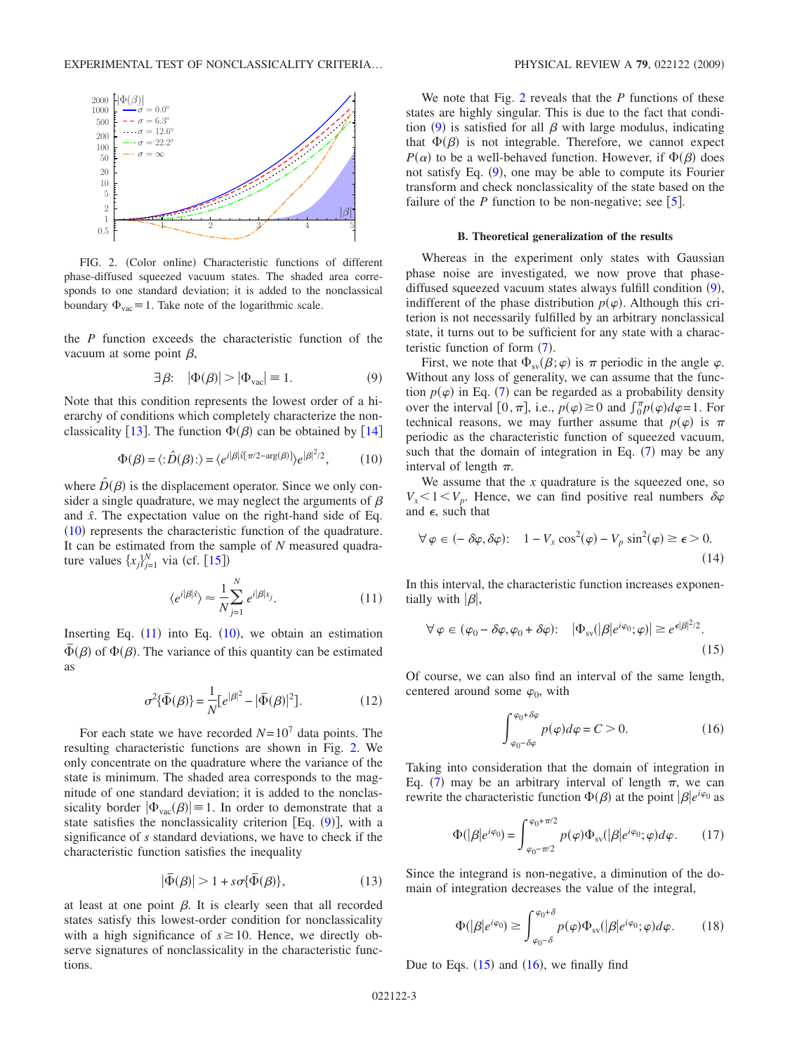<span id="page-2-2"></span>

FIG. 2. (Color online) Characteristic functions of different phase-diffused squeezed vacuum states. The shaded area corresponds to one standard deviation; it is added to the nonclassical boundary  $\Phi_{\text{vac}} \equiv 1$ . Take note of the logarithmic scale.

the *P* function exceeds the characteristic function of the vacuum at some point  $\beta$ ,

$$
\exists \beta: \quad |\Phi(\beta)| > |\Phi_{\text{vac}}| = 1. \tag{9}
$$

<span id="page-2-3"></span>Note that this condition represents the lowest order of a hierarchy of conditions which completely characterize the non-classicality [[13](#page-5-12)]. The function  $\Phi(\beta)$  can be obtained by [[14](#page-5-13)]

$$
\Phi(\beta) = \langle : \hat{D}(\beta) : \rangle = \langle e^{i|\beta|\hat{x}[\pi/2 - \arg(\beta)]} \rangle e^{|\beta|^2/2}, \quad (10)
$$

<span id="page-2-0"></span>where  $\hat{D}(\beta)$  is the displacement operator. Since we only consider a single quadrature, we may neglect the arguments of  $\beta$ and *xˆ*. The expectation value on the right-hand side of Eq.  $(10)$  $(10)$  $(10)$  represents the characteristic function of the quadrature. It can be estimated from the sample of *N* measured quadrature values  $\{x_j\}_{j=1}^N$  via (cf. [[15](#page-5-14)])

$$
\langle e^{i|\beta|\hat{x}} \rangle \approx \frac{1}{N} \sum_{j=1}^{N} e^{i|\beta|x_j}.
$$
 (11)

<span id="page-2-1"></span>Inserting Eq.  $(11)$  $(11)$  $(11)$  into Eq.  $(10)$  $(10)$  $(10)$ , we obtain an estimation  $\overline{\Phi}(\beta)$  of  $\Phi(\beta)$ . The variance of this quantity can be estimated as

$$
\sigma^2 \{\bar{\Phi}(\beta)\} = \frac{1}{N} [e^{|\beta|^2} - |\bar{\Phi}(\beta)|^2].
$$
 (12)

<span id="page-2-6"></span>For each state we have recorded  $N=10^7$  data points. The resulting characteristic functions are shown in Fig. [2.](#page-2-2) We only concentrate on the quadrature where the variance of the state is minimum. The shaded area corresponds to the magnitude of one standard deviation; it is added to the nonclassicality border  $|\Phi_{\text{vac}}(\beta)| = 1$ . In order to demonstrate that a state satisfies the nonclassicality criterion [Eq.  $(9)$  $(9)$  $(9)$ ], with a significance of *s* standard deviations, we have to check if the characteristic function satisfies the inequality

$$
|\bar{\Phi}(\beta)| > 1 + s\sigma\{\bar{\Phi}(\beta)\},\tag{13}
$$

at least at one point  $\beta$ . It is clearly seen that all recorded states satisfy this lowest-order condition for nonclassicality with a high significance of  $s \ge 10$ . Hence, we directly observe signatures of nonclassicality in the characteristic functions.

We note that Fig. [2](#page-2-2) reveals that the *P* functions of these states are highly singular. This is due to the fact that condi-tion ([9](#page-2-3)) is satisfied for all  $\beta$  with large modulus, indicating that  $\Phi(\beta)$  is not integrable. Therefore, we cannot expect  $P(\alpha)$  to be a well-behaved function. However, if  $\Phi(\beta)$  does not satisfy Eq. ([9](#page-2-3)), one may be able to compute its Fourier transform and check nonclassicality of the state based on the failure of the *P* function to be non-negative; see  $\lceil 5 \rceil$  $\lceil 5 \rceil$  $\lceil 5 \rceil$ .

#### **B. Theoretical generalization of the results**

Whereas in the experiment only states with Gaussian phase noise are investigated, we now prove that phase-diffused squeezed vacuum states always fulfill condition ([9](#page-2-3)), indifferent of the phase distribution  $p(\varphi)$ . Although this criterion is not necessarily fulfilled by an arbitrary nonclassical state, it turns out to be sufficient for any state with a characteristic function of form  $(7)$  $(7)$  $(7)$ .

First, we note that  $\Phi_{sv}(\beta;\varphi)$  is  $\pi$  periodic in the angle  $\varphi$ . Without any loss of generality, we can assume that the function  $p(\varphi)$  in Eq. ([7](#page-1-3)) can be regarded as a probability density over the interval  $[0, \pi]$ , i.e.,  $p(\varphi) \ge 0$  and  $\int_0^{\pi} p(\varphi) d\varphi = 1$ . For technical reasons, we may further assume that  $p(\varphi)$  is  $\pi$ periodic as the characteristic function of squeezed vacuum, such that the domain of integration in Eq.  $(7)$  $(7)$  $(7)$  may be any interval of length  $\pi$ .

We assume that the  $x$  quadrature is the squeezed one, so  $V_x < 1 < V_p$ . Hence, we can find positive real numbers  $\delta \varphi$ and  $\epsilon$ , such that

$$
\forall \varphi \in (-\delta \varphi, \delta \varphi): \quad 1 - V_x \cos^2(\varphi) - V_p \sin^2(\varphi) \ge \epsilon > 0. \tag{14}
$$

In this interval, the characteristic function increases exponentially with  $|\beta|$ ,

<span id="page-2-4"></span>
$$
\forall \varphi \in (\varphi_0 - \delta \varphi, \varphi_0 + \delta \varphi): \quad |\Phi_{sv}(|\beta|e^{i\varphi_0}; \varphi)| \ge e^{\epsilon |\beta|^2/2}.
$$
\n(15)

Of course, we can also find an interval of the same length, centered around some  $\varphi_0$ , with

$$
\int_{\varphi_0 - \delta \varphi}^{\varphi_0 + \delta \varphi} p(\varphi) d\varphi = C > 0.
$$
 (16)

<span id="page-2-5"></span>Taking into consideration that the domain of integration in Eq. ([7](#page-1-3)) may be an arbitrary interval of length  $\pi$ , we can rewrite the characteristic function  $\Phi(\beta)$  at the point  $|\beta|e^{i\varphi_0}$  as

$$
\Phi(|\beta|e^{i\varphi_0}) = \int_{\varphi_0 - \pi/2}^{\varphi_0 + \pi/2} p(\varphi) \Phi_{sv}(|\beta|e^{i\varphi_0}; \varphi) d\varphi.
$$
 (17)

Since the integrand is non-negative, a diminution of the domain of integration decreases the value of the integral,

$$
\Phi(|\beta|e^{i\varphi_0}) \ge \int_{\varphi_0 - \delta}^{\varphi_0 + \delta} p(\varphi)\Phi_{\rm sv}(|\beta|e^{i\varphi_0}; \varphi)d\varphi.
$$
 (18)

Due to Eqs.  $(15)$  $(15)$  $(15)$  and  $(16)$  $(16)$  $(16)$ , we finally find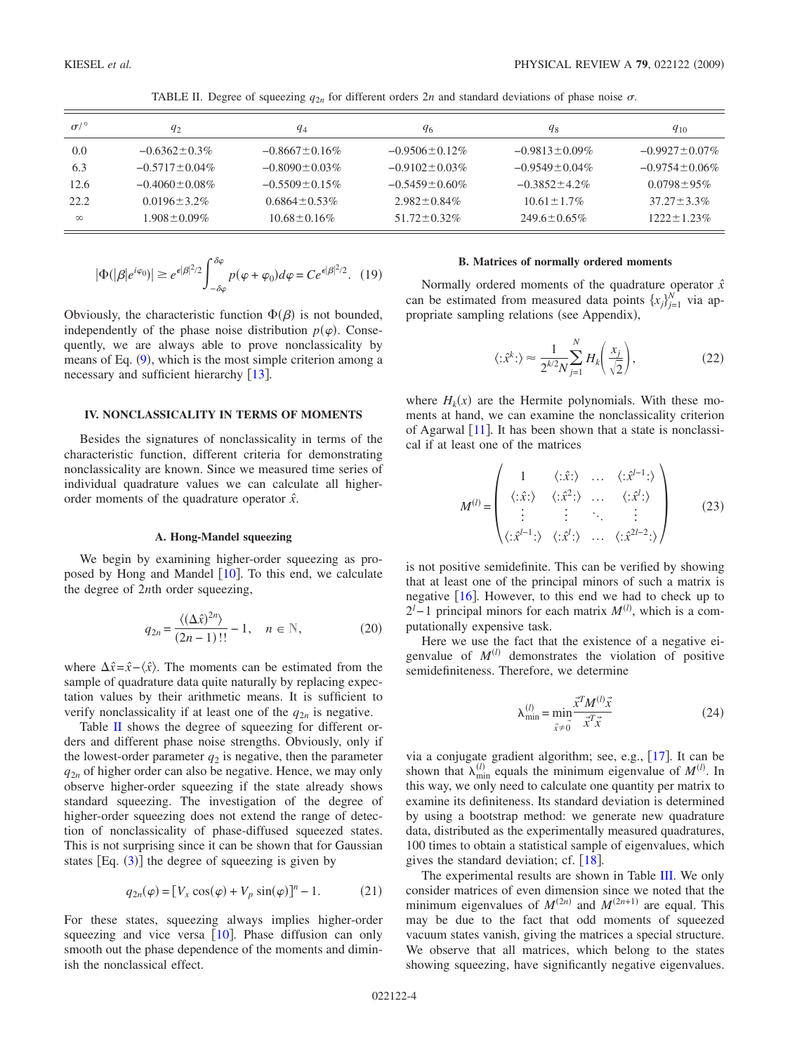<span id="page-3-0"></span>

| $\sigma$ / $\circ$ | $q_2$               | $q_4$                | 96                   | $q_8$                | $q_{10}$             |
|--------------------|---------------------|----------------------|----------------------|----------------------|----------------------|
| 0.0                | $-0.6362 \pm 0.3\%$ | $-0.8667 \pm 0.16\%$ | $-0.9506 \pm 0.12\%$ | $-0.9813 \pm 0.09\%$ | $-0.9927 \pm 0.07\%$ |
| 6.3                | $-0.5717 + 0.04\%$  | $-0.8090 \pm 0.03\%$ | $-0.9102 + 0.03\%$   | $-0.9549 \pm 0.04\%$ | $-0.9754 + 0.06\%$   |
| 12.6               | $-0.4060 + 0.08\%$  | $-0.5509 \pm 0.15\%$ | $-0.5459 + 0.60\%$   | $-0.3852 + 4.2\%$    | $0.0798 \pm 95\%$    |
| 22.2               | $0.0196 + 3.2\%$    | $0.6864 + 0.53\%$    | $2.982 \pm 0.84\%$   | $10.61 + 1.7\%$      | $37.27 + 3.3\%$      |
| $\infty$           | $1.908 \pm 0.09\%$  | $10.68 \pm 0.16\%$   | $51.72 \pm 0.32\%$   | $249.6 \pm 0.65\%$   | $1222 + 1.23\%$      |

TABLE II. Degree of squeezing  $q_{2n}$  for different orders  $2n$  and standard deviations of phase noise  $\sigma$ .

$$
|\Phi(|\beta|e^{i\varphi_0})| \ge e^{\epsilon|\beta|^2/2} \int_{-\delta\varphi}^{\delta\varphi} p(\varphi + \varphi_0) d\varphi = Ce^{\epsilon|\beta|^2/2}.
$$
 (19)

Obviously, the characteristic function  $\Phi(\beta)$  is not bounded, independently of the phase noise distribution  $p(\varphi)$ . Consequently, we are always able to prove nonclassicality by means of Eq.  $(9)$  $(9)$  $(9)$ , which is the most simple criterion among a necessary and sufficient hierarchy  $[13]$  $[13]$  $[13]$ .

## **IV. NONCLASSICALITY IN TERMS OF MOMENTS**

Besides the signatures of nonclassicality in terms of the characteristic function, different criteria for demonstrating nonclassicality are known. Since we measured time series of individual quadrature values we can calculate all higherorder moments of the quadrature operator *xˆ*.

### **A. Hong-Mandel squeezing**

We begin by examining higher-order squeezing as proposed by Hong and Mandel  $[10]$  $[10]$  $[10]$ . To this end, we calculate the degree of 2*n*th order squeezing,

$$
q_{2n} = \frac{\langle (\Delta \hat{x})^{2n} \rangle}{(2n-1)!!} - 1, \quad n \in \mathbb{N},
$$
 (20)

where  $\Delta \hat{x} = \hat{x} - \langle \hat{x} \rangle$ . The moments can be estimated from the sample of quadrature data quite naturally by replacing expectation values by their arithmetic means. It is sufficient to verify nonclassicality if at least one of the  $q_{2n}$  is negative.

Table [II](#page-3-0) shows the degree of squeezing for different orders and different phase noise strengths. Obviously, only if the lowest-order parameter  $q_2$  is negative, then the parameter  $q_{2n}$  of higher order can also be negative. Hence, we may only observe higher-order squeezing if the state already shows standard squeezing. The investigation of the degree of higher-order squeezing does not extend the range of detection of nonclassicality of phase-diffused squeezed states. This is not surprising since it can be shown that for Gaussian states  $[Eq. (3)]$  $[Eq. (3)]$  $[Eq. (3)]$  the degree of squeezing is given by

$$
q_{2n}(\varphi) = [V_x \cos(\varphi) + V_p \sin(\varphi)]^n - 1. \tag{21}
$$

For these states, squeezing always implies higher-order squeezing and vice versa  $[10]$  $[10]$  $[10]$ . Phase diffusion can only smooth out the phase dependence of the moments and diminish the nonclassical effect.

### **B. Matrices of normally ordered moments**

Normally ordered moments of the quadrature operator *xˆ* can be estimated from measured data points  ${x_j}_{j=1}^N$  via appropriate sampling relations (see Appendix),

$$
\langle : \hat{x}^k : \rangle \approx \frac{1}{2^{k/2} N} \sum_{j=1}^N H_k \left( \frac{x_j}{\sqrt{2}} \right),\tag{22}
$$

where  $H_k(x)$  are the Hermite polynomials. With these moments at hand, we can examine the nonclassicality criterion of Agarwal  $[11]$  $[11]$  $[11]$ . It has been shown that a state is nonclassical if at least one of the matrices

$$
M^{(l)} = \begin{pmatrix} 1 & \langle : \hat{x} : \rangle & \dots & \langle : \hat{x}^{l-1} : \rangle \\ \langle : \hat{x} : \rangle & \langle : \hat{x}^2 : \rangle & \dots & \langle : \hat{x}^{l} : \rangle \\ \vdots & \vdots & \ddots & \vdots \\ \langle : \hat{x}^{l-1} : \rangle & \langle : \hat{x}^{l} : \rangle & \dots & \langle : \hat{x}^{2l-2} : \rangle \end{pmatrix}
$$
(23)

is not positive semidefinite. This can be verified by showing that at least one of the principal minors of such a matrix is negative  $[16]$  $[16]$  $[16]$ . However, to this end we had to check up to  $2<sup>l</sup> - 1$  principal minors for each matrix  $M<sup>(l)</sup>$ , which is a computationally expensive task.

Here we use the fact that the existence of a negative eigenvalue of  $M^{(l)}$  demonstrates the violation of positive semidefiniteness. Therefore, we determine

$$
\lambda_{\min}^{(l)} = \min_{\vec{x} \neq \vec{0}} \frac{\vec{x}^T M^{(l)} \vec{x}}{\vec{x}^T \vec{x}}
$$
(24)

via a conjugate gradient algorithm; see, e.g.,  $[17]$  $[17]$  $[17]$ . It can be shown that  $\lambda_{\min}^{(l)}$  equals the minimum eigenvalue of  $M^{(l)}$ . In this way, we only need to calculate one quantity per matrix to examine its definiteness. Its standard deviation is determined by using a bootstrap method: we generate new quadrature data, distributed as the experimentally measured quadratures, 100 times to obtain a statistical sample of eigenvalues, which gives the standard deviation; cf.  $[18]$  $[18]$  $[18]$ .

The experimental results are shown in Table [III.](#page-4-0) We only consider matrices of even dimension since we noted that the minimum eigenvalues of  $M^{(2n)}$  and  $M^{(2n+1)}$  are equal. This may be due to the fact that odd moments of squeezed vacuum states vanish, giving the matrices a special structure. We observe that all matrices, which belong to the states showing squeezing, have significantly negative eigenvalues.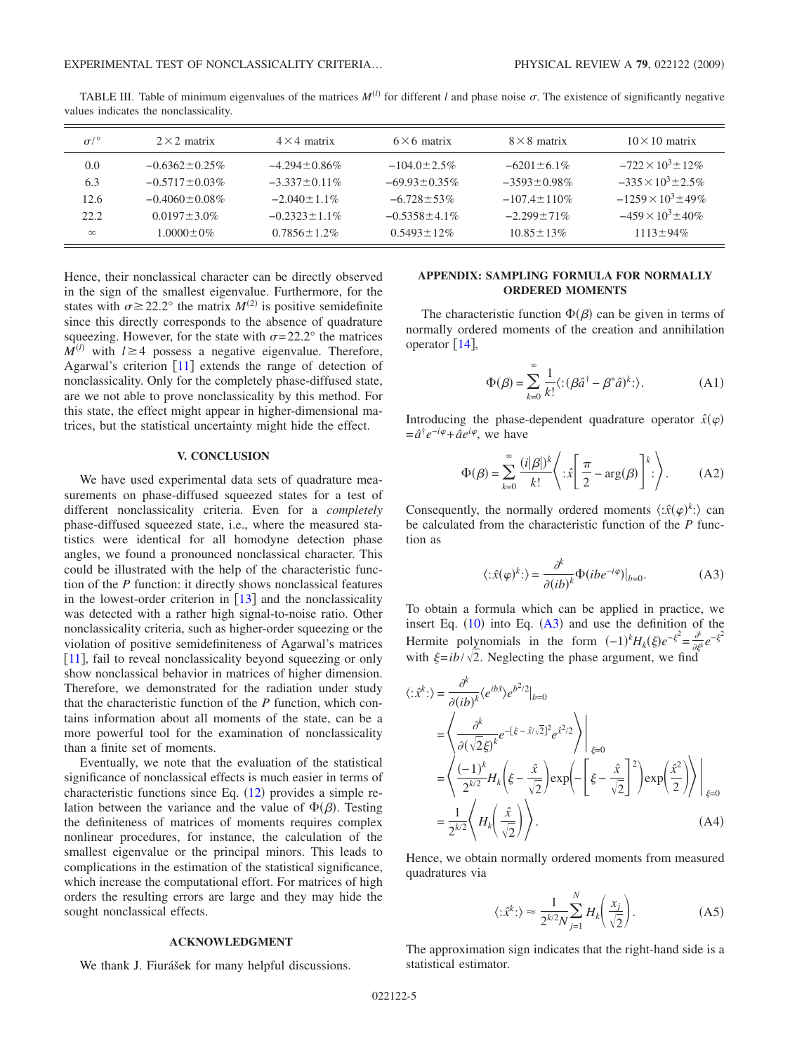<span id="page-4-0"></span>

| $\sigma$ /° | $2 \times 2$ matrix  | $4 \times 4$ matrix | $6 \times 6$ matrix | $8 \times 8$ matrix | $10 \times 10$ matrix        |
|-------------|----------------------|---------------------|---------------------|---------------------|------------------------------|
| 0.0         | $-0.6362 \pm 0.25\%$ | $-4.294 \pm 0.86\%$ | $-104.0 \pm 2.5\%$  | $-6201 + 6.1\%$     | $-722 \times 10^3$ + 12\%    |
| 6.3         | $-0.5717 \pm 0.03\%$ | $-3.337 + 0.11\%$   | $-69.93 \pm 0.35\%$ | $-3593 \pm 0.98\%$  | $-335 \times 10^3 + 2.5\%$   |
| 12.6        | $-0.4060 + 0.08\%$   | $-2.040 + 1.1\%$    | $-6.728 + 53\%$     | $-107.4 + 110\%$    | $-1259 \times 10^{3} + 49\%$ |
| 22.2        | $0.0197 \pm 3.0\%$   | $-0.2323 + 1.1\%$   | $-0.5358 \pm 4.1\%$ | $-2.299 + 71\%$     | $-459 \times 10^3 \pm 40\%$  |
| $\infty$    | $1.0000 \pm 0\%$     | $0.7856 \pm 1.2\%$  | $0.5493 \pm 12\%$   | $10.85 + 13\%$      | $1113 \pm 94\%$              |

TABLE III. Table of minimum eigenvalues of the matrices  $M^{(l)}$  for different *l* and phase noise  $\sigma$ . The existence of significantly negative values indicates the nonclassicality.

Hence, their nonclassical character can be directly observed in the sign of the smallest eigenvalue. Furthermore, for the states with  $\sigma \ge 22.2^{\circ}$  the matrix  $M^{(2)}$  is positive semidefinite since this directly corresponds to the absence of quadrature squeezing. However, for the state with  $\sigma = 22.2^{\circ}$  the matrices  $M^{(l)}$  with  $l \geq 4$  possess a negative eigenvalue. Therefore, Agarwal's criterion  $\lceil 11 \rceil$  $\lceil 11 \rceil$  $\lceil 11 \rceil$  extends the range of detection of nonclassicality. Only for the completely phase-diffused state, are we not able to prove nonclassicality by this method. For this state, the effect might appear in higher-dimensional matrices, but the statistical uncertainty might hide the effect.

#### **V. CONCLUSION**

We have used experimental data sets of quadrature measurements on phase-diffused squeezed states for a test of different nonclassicality criteria. Even for a *completely* phase-diffused squeezed state, i.e., where the measured statistics were identical for all homodyne detection phase angles, we found a pronounced nonclassical character. This could be illustrated with the help of the characteristic function of the *P* function: it directly shows nonclassical features in the lowest-order criterion in  $\lceil 13 \rceil$  $\lceil 13 \rceil$  $\lceil 13 \rceil$  and the nonclassicality was detected with a rather high signal-to-noise ratio. Other nonclassicality criteria, such as higher-order squeezing or the violation of positive semidefiniteness of Agarwal's matrices [[11](#page-5-10)], fail to reveal nonclassicality beyond squeezing or only show nonclassical behavior in matrices of higher dimension. Therefore, we demonstrated for the radiation under study that the characteristic function of the *P* function, which contains information about all moments of the state, can be a more powerful tool for the examination of nonclassicality than a finite set of moments.

Eventually, we note that the evaluation of the statistical significance of nonclassical effects is much easier in terms of characteristic functions since Eq.  $(12)$  $(12)$  $(12)$  provides a simple relation between the variance and the value of  $\Phi(\beta)$ . Testing the definiteness of matrices of moments requires complex nonlinear procedures, for instance, the calculation of the smallest eigenvalue or the principal minors. This leads to complications in the estimation of the statistical significance, which increase the computational effort. For matrices of high orders the resulting errors are large and they may hide the sought nonclassical effects.

# **ACKNOWLEDGMENT**

We thank J. Fiurášek for many helpful discussions.

# **APPENDIX: SAMPLING FORMULA FOR NORMALLY ORDERED MOMENTS**

The characteristic function  $\Phi(\beta)$  can be given in terms of normally ordered moments of the creation and annihilation operator  $[14]$  $[14]$  $[14]$ ,

$$
\Phi(\beta) = \sum_{k=0}^{\infty} \frac{1}{k!} \langle : (\beta \hat{a}^{\dagger} - \beta^* \hat{a})^k : \rangle.
$$
 (A1)

Introducing the phase-dependent quadrature operator  $\hat{x}(\varphi)$  $= \hat{a}^{\dagger} e^{-i\varphi} + \hat{a} e^{i\varphi}$ , we have

$$
\Phi(\beta) = \sum_{k=0}^{\infty} \frac{(i|\beta|)^k}{k!} \left\langle : \hat{x} \left[ \frac{\pi}{2} - \arg(\beta) \right]^k : \right\rangle. \tag{A2}
$$

Consequently, the normally ordered moments  $\langle : \hat{x}(\varphi)^k : \rangle$  can be calculated from the characteristic function of the *P* function as

$$
\langle : \hat{x}(\varphi)^k : \rangle = \frac{\partial^k}{\partial (ib)^k} \Phi(ibe^{-i\varphi}) \big|_{b=0}.
$$
 (A3)

<span id="page-4-1"></span>To obtain a formula which can be applied in practice, we insert Eq.  $(10)$  $(10)$  $(10)$  into Eq.  $(A3)$  $(A3)$  $(A3)$  and use the definition of the Hermite polynomials in the form  $(-1)^k H_k(\xi) e^{-\xi^2} = \frac{\partial}{\partial \xi^k} e^{-\xi^2}$ with  $\xi = ib / \sqrt{2}$ . Neglecting the phase argument, we find

$$
\langle : \hat{x}^k \cdot \rangle = \frac{\partial^k}{\partial (ib)^k} \langle e^{ib\hat{x}} \rangle e^{b^2/2} |_{b=0}
$$
  
\n
$$
= \left\langle \frac{\partial^k}{\partial (\sqrt{2}\xi)^k} e^{-[\xi - \hat{x}/\sqrt{2}]^2} e^{\hat{x}^2/2} \right\rangle \Big|_{\xi=0}
$$
  
\n
$$
= \left\langle \frac{(-1)^k}{2^{k/2}} H_k \left( \xi - \frac{\hat{x}}{\sqrt{2}} \right) \exp\left( -\left[ \xi - \frac{\hat{x}}{\sqrt{2}} \right]^2 \right) \exp\left( \frac{\hat{x}^2}{2} \right) \right\rangle \Big|_{\xi=0}
$$
  
\n
$$
= \frac{1}{2^{k/2}} \left\langle H_k \left( \frac{\hat{x}}{\sqrt{2}} \right) \right\rangle. \tag{A4}
$$

Hence, we obtain normally ordered moments from measured quadratures via

$$
\langle : \hat{x}^k : \rangle \approx \frac{1}{2^{k/2} N} \sum_{j=1}^N H_k \bigg( \frac{x_j}{\sqrt{2}} \bigg). \tag{A5}
$$

The approximation sign indicates that the right-hand side is a statistical estimator.